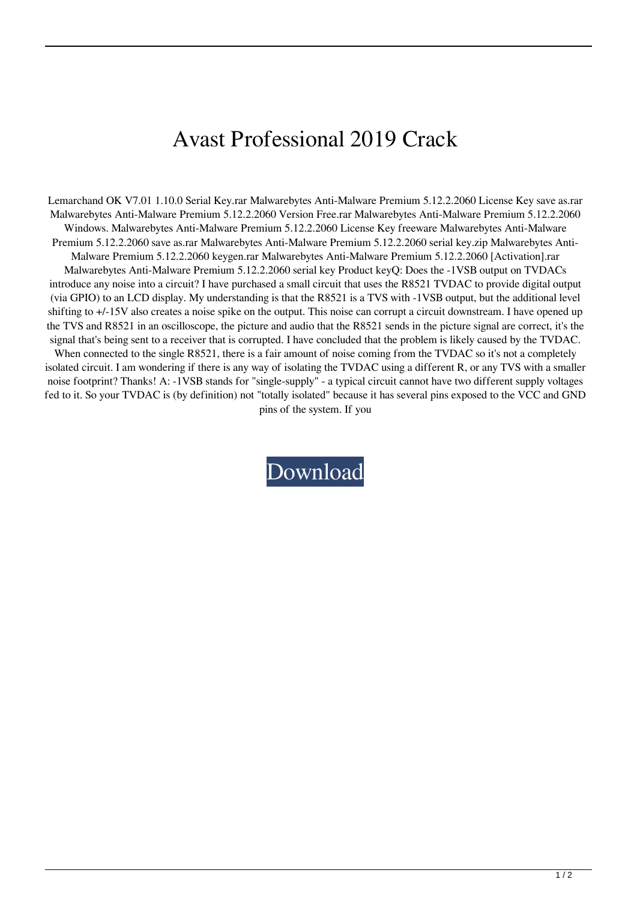## Avast Professional 2019 Crack

Lemarchand OK V7.01 1.10.0 Serial Key.rar Malwarebytes Anti-Malware Premium 5.12.2.2060 License Key save as.rar Malwarebytes Anti-Malware Premium 5.12.2.2060 Version Free.rar Malwarebytes Anti-Malware Premium 5.12.2.2060 Windows. Malwarebytes Anti-Malware Premium 5.12.2.2060 License Key freeware Malwarebytes Anti-Malware Premium 5.12.2.2060 save as.rar Malwarebytes Anti-Malware Premium 5.12.2.2060 serial key.zip Malwarebytes Anti-Malware Premium 5.12.2.2060 keygen.rar Malwarebytes Anti-Malware Premium 5.12.2.2060 [Activation].rar Malwarebytes Anti-Malware Premium 5.12.2.2060 serial key Product keyQ: Does the -1VSB output on TVDACs introduce any noise into a circuit? I have purchased a small circuit that uses the R8521 TVDAC to provide digital output (via GPIO) to an LCD display. My understanding is that the R8521 is a TVS with -1VSB output, but the additional level shifting to +/-15V also creates a noise spike on the output. This noise can corrupt a circuit downstream. I have opened up the TVS and R8521 in an oscilloscope, the picture and audio that the R8521 sends in the picture signal are correct, it's the signal that's being sent to a receiver that is corrupted. I have concluded that the problem is likely caused by the TVDAC. When connected to the single R8521, there is a fair amount of noise coming from the TVDAC so it's not a completely isolated circuit. I am wondering if there is any way of isolating the TVDAC using a different R, or any TVS with a smaller noise footprint? Thanks! A: -1VSB stands for "single-supply" - a typical circuit cannot have two different supply voltages fed to it. So your TVDAC is (by definition) not "totally isolated" because it has several pins exposed to the VCC and GND pins of the system. If you

[Download](http://evacdir.com/briefcase/carpenter.rosenthal/andand/lubed/TWFsd2FyZWJ5dGVzIEFudGktTWFsd2FyZSBQcmVtaXVtIDUuMTIuMi4yMDYwIExpY2Vuc2UgS2V5IC5yYXITWF/ZG93bmxvYWR8Q2MzYURVMk9IeDhNVFkxTlRnME1qazRNWHg4TWpVM05IeDhLRTBwSUhKbFlXUXRZbXh2WnlCYlJtRnpkQ0JIUlU1ZA.secrecy)